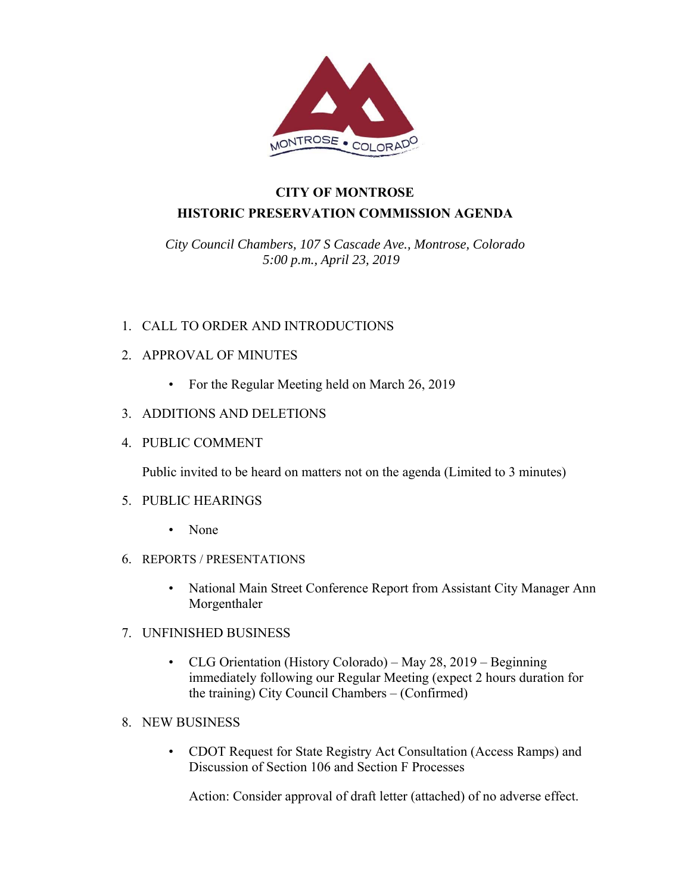

# **CITY OF MONTROSE HISTORIC PRESERVATION COMMISSION AGENDA**

*City Council Chambers, 107 S Cascade Ave., Montrose, Colorado 5:00 p.m., April 23, 2019* 

### 1. CALL TO ORDER AND INTRODUCTIONS

### 2. APPROVAL OF MINUTES

• For the Regular Meeting held on March 26, 2019

### 3. ADDITIONS AND DELETIONS

4. PUBLIC COMMENT

Public invited to be heard on matters not on the agenda (Limited to 3 minutes)

### 5. PUBLIC HEARINGS

- None
- 6. REPORTS / PRESENTATIONS
	- National Main Street Conference Report from Assistant City Manager Ann Morgenthaler
- 7. UNFINISHED BUSINESS
	- CLG Orientation (History Colorado) May 28, 2019 Beginning immediately following our Regular Meeting (expect 2 hours duration for the training) City Council Chambers – (Confirmed)
- 8. NEW BUSINESS
	- CDOT Request for State Registry Act Consultation (Access Ramps) and Discussion of Section 106 and Section F Processes

Action: Consider approval of draft letter (attached) of no adverse effect.